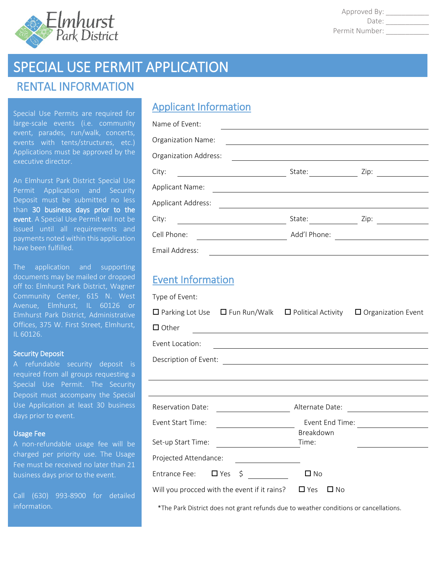

Approved By: \_\_\_\_\_\_\_\_ Date: \_\_\_\_\_\_\_\_\_\_\_ Permit Number: \_\_\_\_\_\_\_

# SPECIAL USE PERMIT APPLICATION

# RENTAL INFORMATION

Special Use Permits are required for large-scale events (i.e. community event, parades, run/walk, concerts, events with tents/structures, etc.) Applications must be approved by the executive director.

An Elmhurst Park District Special Use Permit Application and Security Deposit must be submitted no less than 30 business days prior to the event. A Special Use Permit will not be issued until all requirements and payments noted within this application have been fulfilled.

The application and supporting documents may be mailed or dropped off to: Elmhurst Park District, Wagner Community Center, 615 N. West Avenue, Elmhurst, IL 60126 or Elmhurst Park District, Administrative Offices, 375 W. First Street, Elmhurst, IL 60126.

#### Security Deposit

A refundable security deposit is required from all groups requesting a Special Use Permit. The Security Deposit must accompany the Special Use Application at least 30 business days prior to event.

#### Usage Fee

A non-refundable usage fee will be charged per priority use. The Usage Fee must be received no later than 21 business days prior to the event.

Call (630) 993-8900 for detailed information.

## Applicant Information

| Name of Event:               |              |      |
|------------------------------|--------------|------|
| Organization Name:           |              |      |
| <b>Organization Address:</b> |              |      |
| City:                        | State:       | Zip: |
| <b>Applicant Name:</b>       |              |      |
| <b>Applicant Address:</b>    |              |      |
| City:                        | State:       | Zip: |
| Cell Phone:                  | Add'l Phone: |      |
| Email Address:               |              |      |

### Event Information

| Type of Event:           |                                              |                                                                      |                                                 |
|--------------------------|----------------------------------------------|----------------------------------------------------------------------|-------------------------------------------------|
|                          |                                              | $\Box$ Parking Lot Use $\Box$ Fun Run/Walk $\Box$ Political Activity | $\Box$ Organization Event                       |
| $\Box$ Other             |                                              |                                                                      |                                                 |
| Event Location:          |                                              | <u> 1989 - Johann Barbara, martxa alemaniar arg</u>                  |                                                 |
| Description of Event:    |                                              |                                                                      |                                                 |
|                          |                                              |                                                                      |                                                 |
|                          |                                              |                                                                      |                                                 |
| <b>Reservation Date:</b> |                                              | Alternate Date:                                                      | the contract of the contract of the contract of |
| Event Start Time:        |                                              | Event End Time:                                                      |                                                 |
|                          |                                              | Breakdown                                                            |                                                 |
| Set-up Start Time:       |                                              | Time:                                                                |                                                 |
| Projected Attendance:    |                                              |                                                                      |                                                 |
| Entrance Fee: $\Box$ Yes | \$                                           | $\square$ No                                                         |                                                 |
|                          | Will you procced with the event if it rains? | $\Box$ Yes<br>□ No                                                   |                                                 |

\*The Park District does not grant refunds due to weather conditions or cancellations.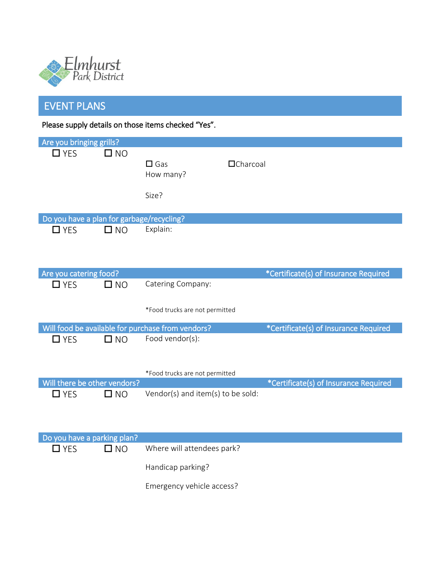

# EVENT PLANS

Please supply details on those items checked "Yes".

| Are you bringing grills?                  |              |                                                   |                                       |
|-------------------------------------------|--------------|---------------------------------------------------|---------------------------------------|
| $\Box$ YES                                | $\square$ NO | $\square$ Gas<br>How many?                        | <b>O</b> Charcoal                     |
|                                           |              | Size?                                             |                                       |
| Do you have a plan for garbage/recycling? |              |                                                   |                                       |
| $\Box$ YES                                | $\square$ NO | Explain:                                          |                                       |
| Are you catering food?                    |              |                                                   | *Certificate(s) of Insurance Required |
| $\Box$ YES                                | $\square$ NO | Catering Company:                                 |                                       |
|                                           |              | *Food trucks are not permitted                    |                                       |
|                                           |              | Will food be available for purchase from vendors? | *Certificate(s) of Insurance Required |
| $\Box$ YES                                | $\square$ NO | Food vendor(s):                                   |                                       |
|                                           |              | *Food trucks are not permitted                    |                                       |
| Will there be other vendors?              |              |                                                   | *Certificate(s) of Insurance Required |
| $\Box$ YES                                | $\square$ NO | Vendor(s) and item(s) to be sold:                 |                                       |
| Do you have a parking plan?               |              |                                                   |                                       |
| $\Box$ YES                                | $\square$ NO | Where will attendees park?                        |                                       |
|                                           |              | Handicap parking?                                 |                                       |
|                                           |              | Emergency vehicle access?                         |                                       |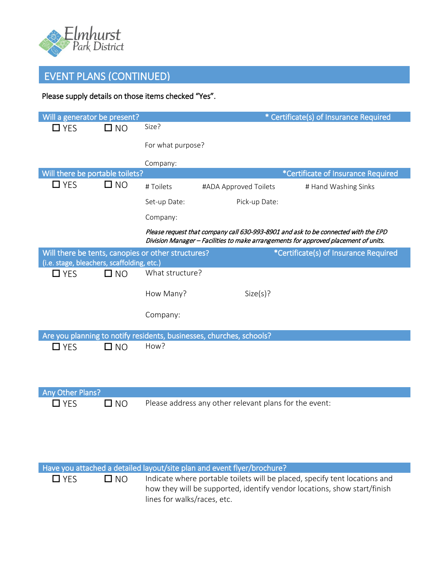

# EVENT PLANS (CONTINUED)

### Please supply details on those items checked "Yes".

| Will a generator be present?                             |              |                                                    |                                                                         | * Certificate(s) of Insurance Required                                                                                                                                    |
|----------------------------------------------------------|--------------|----------------------------------------------------|-------------------------------------------------------------------------|---------------------------------------------------------------------------------------------------------------------------------------------------------------------------|
| $\Box$ YES                                               | $\square$ NO | Size?                                              |                                                                         |                                                                                                                                                                           |
|                                                          |              | For what purpose?                                  |                                                                         |                                                                                                                                                                           |
|                                                          |              | Company:                                           |                                                                         |                                                                                                                                                                           |
| Will there be portable toilets?                          |              |                                                    |                                                                         | *Certificate of Insurance Required                                                                                                                                        |
| $\Box$ YES                                               | $\square$ NO | # Toilets                                          | #ADA Approved Toilets                                                   | # Hand Washing Sinks                                                                                                                                                      |
|                                                          |              | Set-up Date:                                       | Pick-up Date:                                                           |                                                                                                                                                                           |
|                                                          |              | Company:                                           |                                                                         |                                                                                                                                                                           |
|                                                          |              |                                                    |                                                                         | Please request that company call 630-993-8901 and ask to be connected with the EPD<br>Division Manager - Facilities to make arrangements for approved placement of units. |
|                                                          |              | Will there be tents, canopies or other structures? |                                                                         | *Certificate(s) of Insurance Required                                                                                                                                     |
| (i.e. stage, bleachers, scaffolding, etc.)<br>$\Box$ YES | $\square$ NO | What structure?                                    |                                                                         |                                                                                                                                                                           |
|                                                          |              |                                                    |                                                                         |                                                                                                                                                                           |
|                                                          |              | How Many?                                          | Size(s)?                                                                |                                                                                                                                                                           |
|                                                          |              | Company:                                           |                                                                         |                                                                                                                                                                           |
|                                                          |              |                                                    | Are you planning to notify residents, businesses, churches, schools?    |                                                                                                                                                                           |
| $\Box$ YES                                               | $\square$ NO | How?                                               |                                                                         |                                                                                                                                                                           |
|                                                          |              |                                                    |                                                                         |                                                                                                                                                                           |
|                                                          |              |                                                    |                                                                         |                                                                                                                                                                           |
| Any Other Plans?                                         |              |                                                    |                                                                         |                                                                                                                                                                           |
| $\square$ YES                                            | $\Box$ NO    |                                                    | Please address any other relevant plans for the event:                  |                                                                                                                                                                           |
|                                                          |              |                                                    |                                                                         |                                                                                                                                                                           |
|                                                          |              |                                                    |                                                                         |                                                                                                                                                                           |
|                                                          |              |                                                    |                                                                         |                                                                                                                                                                           |
|                                                          |              |                                                    | Have you attached a detailed layout/site plan and event flyer/brochure? |                                                                                                                                                                           |
| $\Box$ YES                                               | $\square$ NO |                                                    |                                                                         | Indicate where portable toilets will be placed, specify tent locations and                                                                                                |
|                                                          |              | lines for walks/races, etc.                        |                                                                         | how they will be supported, identify vendor locations, show start/finish                                                                                                  |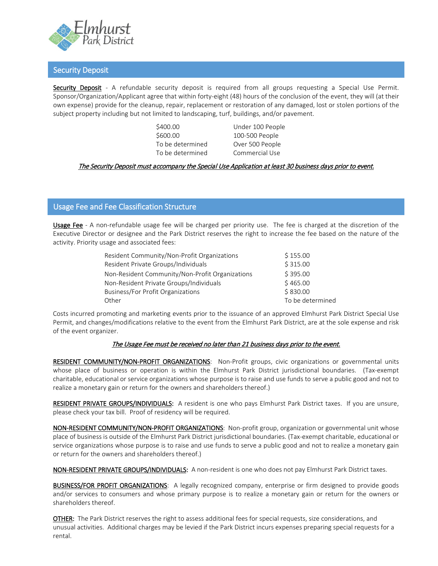

#### Security Deposit

Security Deposit - A refundable security deposit is required from all groups requesting a Special Use Permit. Sponsor/Organization/Applicant agree that within forty-eight (48) hours of the conclusion of the event, they will (at their own expense) provide for the cleanup, repair, replacement or restoration of any damaged, lost or stolen portions of the subject property including but not limited to landscaping, turf, buildings, and/or pavement.

\$400.00 Under 100 People \$600.00 100-500 People To be determined Over 500 People To be determined Commercial Use

#### The Security Deposit must accompany the Special Use Application at least 30 business days prior to event.

#### Usage Fee and Fee Classification Structure

Usage Fee - A non-refundable usage fee will be charged per priority use. The fee is charged at the discretion of the Executive Director or designee and the Park District reserves the right to increase the fee based on the nature of the activity. Priority usage and associated fees:

| Resident Community/Non-Profit Organizations     | \$155.00         |
|-------------------------------------------------|------------------|
| Resident Private Groups/Individuals             | \$315.00         |
| Non-Resident Community/Non-Profit Organizations | \$395.00         |
| Non-Resident Private Groups/Individuals         | \$465.00         |
| Business/For Profit Organizations               | \$830.00         |
| Other                                           | To be determined |

Costs incurred promoting and marketing events prior to the issuance of an approved Elmhurst Park District Special Use Permit, and changes/modifications relative to the event from the Elmhurst Park District, are at the sole expense and risk of the event organizer.

#### The Usage Fee must be received no later than 21 business days prior to the event.

RESIDENT COMMUNITY/NON-PROFIT ORGANIZATIONS: Non-Profit groups, civic organizations or governmental units whose place of business or operation is within the Elmhurst Park District jurisdictional boundaries. (Tax-exempt charitable, educational or service organizations whose purpose is to raise and use funds to serve a public good and not to realize a monetary gain or return for the owners and shareholders thereof.)

RESIDENT PRIVATE GROUPS/INDIVIDUALS: A resident is one who pays Elmhurst Park District taxes. If you are unsure, please check your tax bill. Proof of residency will be required.

NON-RESIDENT COMMUNITY/NON-PROFIT ORGANIZATIONS: Non-profit group, organization or governmental unit whose place of business is outside of the Elmhurst Park District jurisdictional boundaries. (Tax-exempt charitable, educational or service organizations whose purpose is to raise and use funds to serve a public good and not to realize a monetary gain or return for the owners and shareholders thereof.)

NON-RESIDENT PRIVATE GROUPS/INDIVIDUALS: A non-resident is one who does not pay Elmhurst Park District taxes.

BUSINESS/FOR PROFIT ORGANIZATIONS: A legally recognized company, enterprise or firm designed to provide goods and/or services to consumers and whose primary purpose is to realize a monetary gain or return for the owners or shareholders thereof.

OTHER: The Park District reserves the right to assess additional fees for special requests, size considerations, and unusual activities. Additional charges may be levied if the Park District incurs expenses preparing special requests for a rental.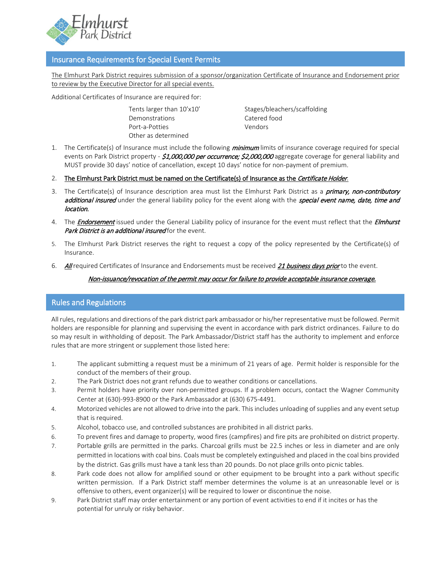

#### Insurance Requirements for Special Event Permits

The Elmhurst Park District requires submission of a sponsor/organization Certificate of Insurance and Endorsement prior to review by the Executive Director for all special events.

Additional Certificates of Insurance are required for:

Demonstrations Catered food Port-a-Potties **Vendors** Other as determined

Tents larger than 10'x10' Stages/bleachers/scaffolding

- 1. The Certificate(s) of Insurance must include the following *minimum* limits of insurance coverage required for special events on Park District property - \$1,000,000 per occurrence; \$2,000,000 aggregate coverage for general liability and MUST provide 30 days' notice of cancellation, except 10 days' notice for non-payment of premium.
- 2. The Elmhurst Park District must be named on the Certificate(s) of Insurance as the Certificate Holder.
- 3. The Certificate(s) of Insurance description area must list the Elmhurst Park District as a *primary, non-contributory* additional insured under the general liability policy for the event along with the special event name, date, time and location.
- 4. The **Endorsement** issued under the General Liability policy of insurance for the event must reflect that the *Elmhurst* Park District is an additional insured for the event.
- 5. The Elmhurst Park District reserves the right to request a copy of the policy represented by the Certificate(s) of Insurance.
- 6. All required Certificates of Insurance and Endorsements must be received 21 business days prior to the event.

#### Non-issuance/revocation of the permit may occur for failure to provide acceptable insurance coverage.

#### Rules and Regulations

All rules, regulations and directions of the park district park ambassador or his/her representative must be followed. Permit holders are responsible for planning and supervising the event in accordance with park district ordinances. Failure to do so may result in withholding of deposit. The Park Ambassador/District staff has the authority to implement and enforce rules that are more stringent or supplement those listed here:

- 1. The applicant submitting a request must be a minimum of 21 years of age. Permit holder is responsible for the conduct of the members of their group.
- 2. The Park District does not grant refunds due to weather conditions or cancellations.
- 3. Permit holders have priority over non-permitted groups. If a problem occurs, contact the Wagner Community Center at (630)-993-8900 or the Park Ambassador at (630) 675-4491.
- 4. Motorized vehicles are not allowed to drive into the park. This includes unloading of supplies and any event setup that is required.
- 5. Alcohol, tobacco use, and controlled substances are prohibited in all district parks.
- 6. To prevent fires and damage to property, wood fires (campfires) and fire pits are prohibited on district property.
- 7. Portable grills are permitted in the parks. Charcoal grills must be 22.5 inches or less in diameter and are only permitted in locations with coal bins. Coals must be completely extinguished and placed in the coal bins provided by the district. Gas grills must have a tank less than 20 pounds. Do not place grills onto picnic tables.
- 8. Park code does not allow for amplified sound or other equipment to be brought into a park without specific written permission. If a Park District staff member determines the volume is at an unreasonable level or is offensive to others, event organizer(s) will be required to lower or discontinue the noise.
- 9. Park District staff may order entertainment or any portion of event activities to end if it incites or has the potential for unruly or risky behavior.